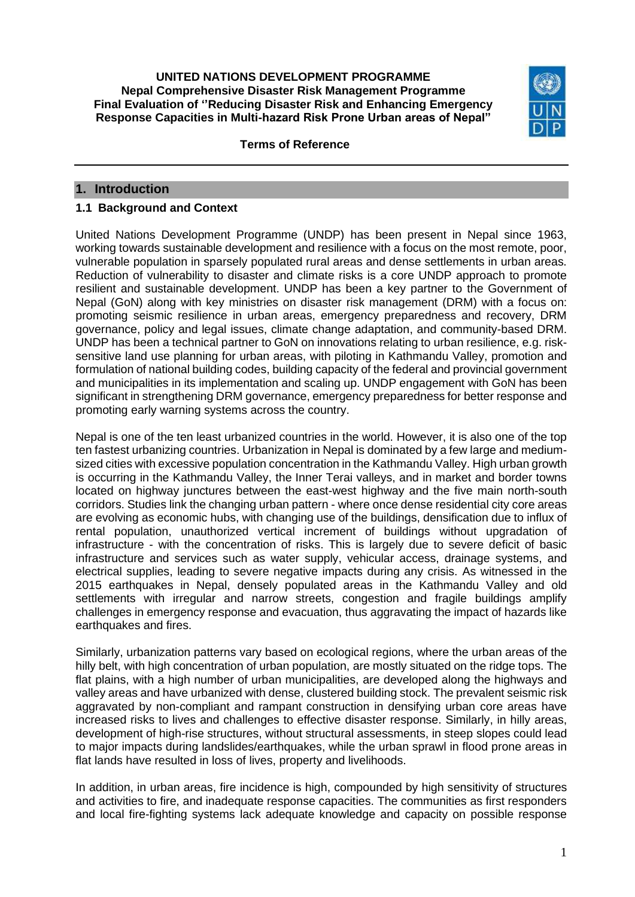**UNITED NATIONS DEVELOPMENT PROGRAMME Nepal Comprehensive Disaster Risk Management Programme Final Evaluation of ''Reducing Disaster Risk and Enhancing Emergency Response Capacities in Multi-hazard Risk Prone Urban areas of Nepal"**



### **Terms of Reference**

## **1. Introduction**

### **1.1 Background and Context**

United Nations Development Programme (UNDP) has been present in Nepal since 1963, working towards sustainable development and resilience with a focus on the most remote, poor, vulnerable population in sparsely populated rural areas and dense settlements in urban areas. Reduction of vulnerability to disaster and climate risks is a core UNDP approach to promote resilient and sustainable development. UNDP has been a key partner to the Government of Nepal (GoN) along with key ministries on disaster risk management (DRM) with a focus on: promoting seismic resilience in urban areas, emergency preparedness and recovery, DRM governance, policy and legal issues, climate change adaptation, and community-based DRM. UNDP has been a technical partner to GoN on innovations relating to urban resilience, e.g. risksensitive land use planning for urban areas, with piloting in Kathmandu Valley, promotion and formulation of national building codes, building capacity of the federal and provincial government and municipalities in its implementation and scaling up. UNDP engagement with GoN has been significant in strengthening DRM governance, emergency preparedness for better response and promoting early warning systems across the country.

Nepal is one of the ten least urbanized countries in the world. However, it is also one of the top ten fastest urbanizing countries. Urbanization in Nepal is dominated by a few large and mediumsized cities with excessive population concentration in the Kathmandu Valley. High urban growth is occurring in the Kathmandu Valley, the Inner Terai valleys, and in market and border towns located on highway junctures between the east-west highway and the five main north-south corridors. Studies link the changing urban pattern - where once dense residential city core areas are evolving as economic hubs, with changing use of the buildings, densification due to influx of rental population, unauthorized vertical increment of buildings without upgradation of infrastructure - with the concentration of risks. This is largely due to severe deficit of basic infrastructure and services such as water supply, vehicular access, drainage systems, and electrical supplies, leading to severe negative impacts during any crisis. As witnessed in the 2015 earthquakes in Nepal, densely populated areas in the Kathmandu Valley and old settlements with irregular and narrow streets, congestion and fragile buildings amplify challenges in emergency response and evacuation, thus aggravating the impact of hazards like earthquakes and fires.

Similarly, urbanization patterns vary based on ecological regions, where the urban areas of the hilly belt, with high concentration of urban population, are mostly situated on the ridge tops. The flat plains, with a high number of urban municipalities, are developed along the highways and valley areas and have urbanized with dense, clustered building stock. The prevalent seismic risk aggravated by non-compliant and rampant construction in densifying urban core areas have increased risks to lives and challenges to effective disaster response. Similarly, in hilly areas, development of high-rise structures, without structural assessments, in steep slopes could lead to major impacts during landslides/earthquakes, while the urban sprawl in flood prone areas in flat lands have resulted in loss of lives, property and livelihoods.

In addition, in urban areas, fire incidence is high, compounded by high sensitivity of structures and activities to fire, and inadequate response capacities. The communities as first responders and local fire-fighting systems lack adequate knowledge and capacity on possible response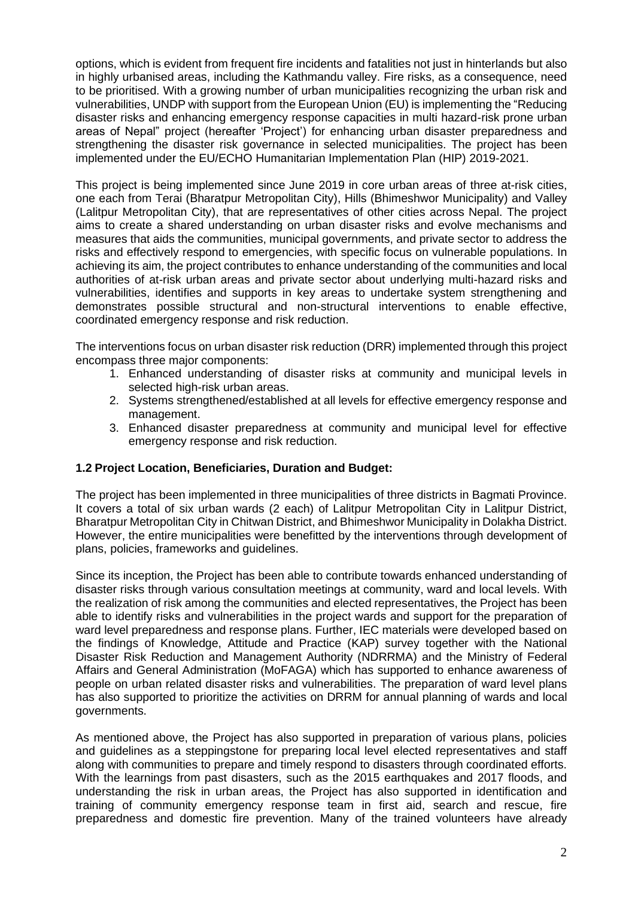options, which is evident from frequent fire incidents and fatalities not just in hinterlands but also in highly urbanised areas, including the Kathmandu valley. Fire risks, as a consequence, need to be prioritised. With a growing number of urban municipalities recognizing the urban risk and vulnerabilities, UNDP with support from the European Union (EU) is implementing the "Reducing disaster risks and enhancing emergency response capacities in multi hazard-risk prone urban areas of Nepal" project (hereafter 'Project') for enhancing urban disaster preparedness and strengthening the disaster risk governance in selected municipalities. The project has been implemented under the EU/ECHO Humanitarian Implementation Plan (HIP) 2019-2021.

This project is being implemented since June 2019 in core urban areas of three at-risk cities, one each from Terai (Bharatpur Metropolitan City), Hills (Bhimeshwor Municipality) and Valley (Lalitpur Metropolitan City), that are representatives of other cities across Nepal. The project aims to create a shared understanding on urban disaster risks and evolve mechanisms and measures that aids the communities, municipal governments, and private sector to address the risks and effectively respond to emergencies, with specific focus on vulnerable populations. In achieving its aim, the project contributes to enhance understanding of the communities and local authorities of at-risk urban areas and private sector about underlying multi-hazard risks and vulnerabilities, identifies and supports in key areas to undertake system strengthening and demonstrates possible structural and non-structural interventions to enable effective, coordinated emergency response and risk reduction.

The interventions focus on urban disaster risk reduction (DRR) implemented through this project encompass three major components:

- 1. Enhanced understanding of disaster risks at community and municipal levels in selected high-risk urban areas.
- 2. Systems strengthened/established at all levels for effective emergency response and management.
- 3. Enhanced disaster preparedness at community and municipal level for effective emergency response and risk reduction.

### **1.2 Project Location, Beneficiaries, Duration and Budget:**

The project has been implemented in three municipalities of three districts in Bagmati Province. It covers a total of six urban wards (2 each) of Lalitpur Metropolitan City in Lalitpur District, Bharatpur Metropolitan City in Chitwan District, and Bhimeshwor Municipality in Dolakha District. However, the entire municipalities were benefitted by the interventions through development of plans, policies, frameworks and guidelines.

Since its inception, the Project has been able to contribute towards enhanced understanding of disaster risks through various consultation meetings at community, ward and local levels. With the realization of risk among the communities and elected representatives, the Project has been able to identify risks and vulnerabilities in the project wards and support for the preparation of ward level preparedness and response plans. Further, IEC materials were developed based on the findings of Knowledge, Attitude and Practice (KAP) survey together with the National Disaster Risk Reduction and Management Authority (NDRRMA) and the Ministry of Federal Affairs and General Administration (MoFAGA) which has supported to enhance awareness of people on urban related disaster risks and vulnerabilities. The preparation of ward level plans has also supported to prioritize the activities on DRRM for annual planning of wards and local governments.

As mentioned above, the Project has also supported in preparation of various plans, policies and guidelines as a steppingstone for preparing local level elected representatives and staff along with communities to prepare and timely respond to disasters through coordinated efforts. With the learnings from past disasters, such as the 2015 earthquakes and 2017 floods, and understanding the risk in urban areas, the Project has also supported in identification and training of community emergency response team in first aid, search and rescue, fire preparedness and domestic fire prevention. Many of the trained volunteers have already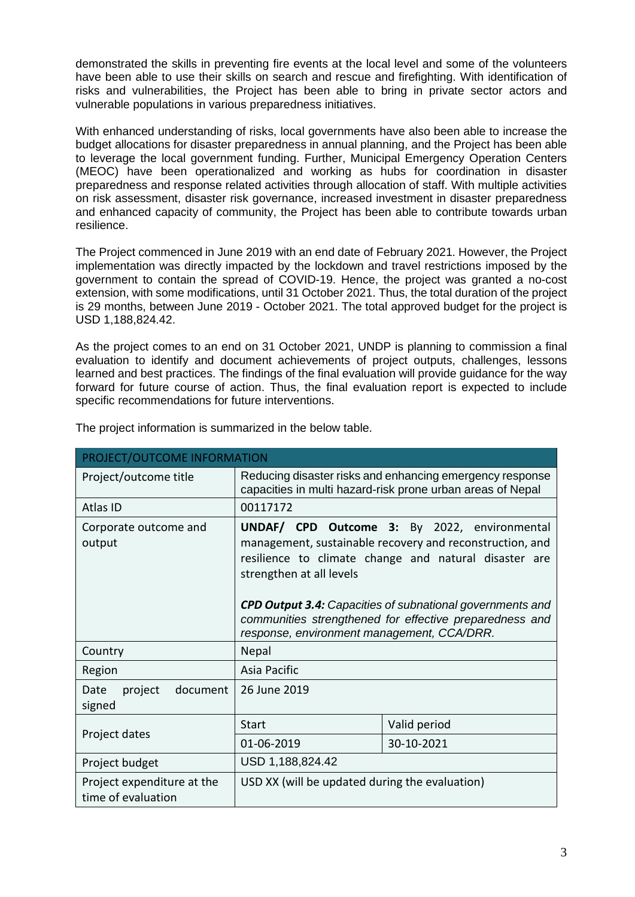demonstrated the skills in preventing fire events at the local level and some of the volunteers have been able to use their skills on search and rescue and firefighting. With identification of risks and vulnerabilities, the Project has been able to bring in private sector actors and vulnerable populations in various preparedness initiatives.

With enhanced understanding of risks, local governments have also been able to increase the budget allocations for disaster preparedness in annual planning, and the Project has been able to leverage the local government funding. Further, Municipal Emergency Operation Centers (MEOC) have been operationalized and working as hubs for coordination in disaster preparedness and response related activities through allocation of staff. With multiple activities on risk assessment, disaster risk governance, increased investment in disaster preparedness and enhanced capacity of community, the Project has been able to contribute towards urban resilience.

The Project commenced in June 2019 with an end date of February 2021. However, the Project implementation was directly impacted by the lockdown and travel restrictions imposed by the government to contain the spread of COVID-19. Hence, the project was granted a no-cost extension, with some modifications, until 31 October 2021. Thus, the total duration of the project is 29 months, between June 2019 - October 2021. The total approved budget for the project is USD 1,188,824.42.

As the project comes to an end on 31 October 2021, UNDP is planning to commission a final evaluation to identify and document achievements of project outputs, challenges, lessons learned and best practices. The findings of the final evaluation will provide guidance for the way forward for future course of action. Thus, the final evaluation report is expected to include specific recommendations for future interventions.

| PROJECT/OUTCOME INFORMATION                      |                                                                                                                                                                                                                                                                                                                                                                            |              |  |  |  |
|--------------------------------------------------|----------------------------------------------------------------------------------------------------------------------------------------------------------------------------------------------------------------------------------------------------------------------------------------------------------------------------------------------------------------------------|--------------|--|--|--|
| Project/outcome title                            | Reducing disaster risks and enhancing emergency response<br>capacities in multi hazard-risk prone urban areas of Nepal                                                                                                                                                                                                                                                     |              |  |  |  |
| Atlas ID                                         | 00117172                                                                                                                                                                                                                                                                                                                                                                   |              |  |  |  |
| Corporate outcome and<br>output                  | UNDAF/ CPD Outcome 3: By 2022, environmental<br>management, sustainable recovery and reconstruction, and<br>resilience to climate change and natural disaster are<br>strengthen at all levels<br><b>CPD Output 3.4: Capacities of subnational governments and</b><br>communities strengthened for effective preparedness and<br>response, environment management, CCA/DRR. |              |  |  |  |
| Country                                          | Nepal                                                                                                                                                                                                                                                                                                                                                                      |              |  |  |  |
| Region                                           | Asia Pacific                                                                                                                                                                                                                                                                                                                                                               |              |  |  |  |
| document<br>project<br>Date<br>signed            | 26 June 2019                                                                                                                                                                                                                                                                                                                                                               |              |  |  |  |
|                                                  | Start                                                                                                                                                                                                                                                                                                                                                                      | Valid period |  |  |  |
| Project dates                                    | 01-06-2019                                                                                                                                                                                                                                                                                                                                                                 | 30-10-2021   |  |  |  |
| Project budget                                   | USD 1,188,824.42                                                                                                                                                                                                                                                                                                                                                           |              |  |  |  |
| Project expenditure at the<br>time of evaluation | USD XX (will be updated during the evaluation)                                                                                                                                                                                                                                                                                                                             |              |  |  |  |

The project information is summarized in the below table.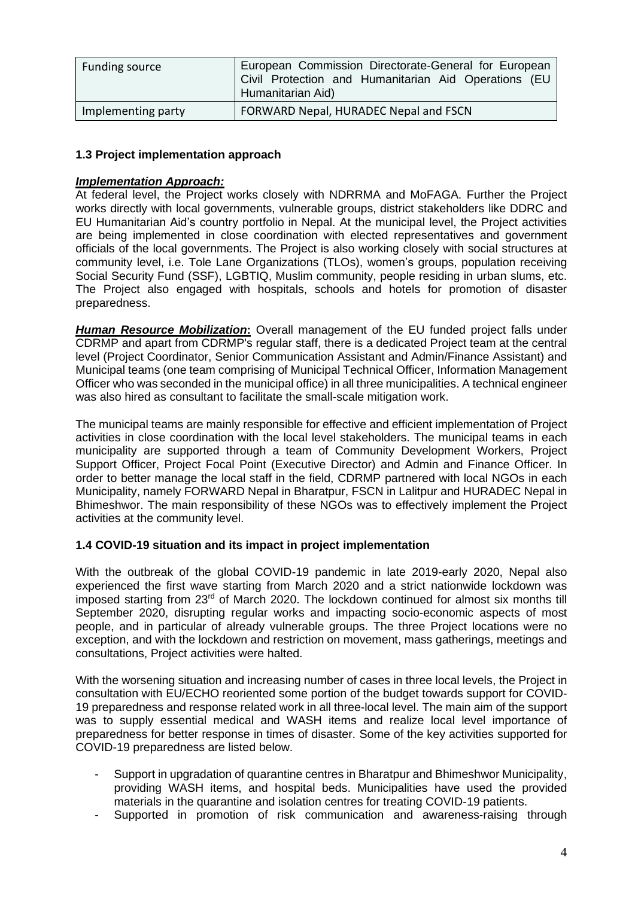| Funding source     | European Commission Directorate-General for European<br>Civil Protection and Humanitarian Aid Operations (EU<br>Humanitarian Aid) |  |
|--------------------|-----------------------------------------------------------------------------------------------------------------------------------|--|
| Implementing party | FORWARD Nepal, HURADEC Nepal and FSCN                                                                                             |  |

### **1.3 Project implementation approach**

### *Implementation Approach:*

At federal level, the Project works closely with NDRRMA and MoFAGA. Further the Project works directly with local governments, vulnerable groups, district stakeholders like DDRC and EU Humanitarian Aid's country portfolio in Nepal. At the municipal level, the Project activities are being implemented in close coordination with elected representatives and government officials of the local governments. The Project is also working closely with social structures at community level, i.e. Tole Lane Organizations (TLOs), women's groups, population receiving Social Security Fund (SSF), LGBTIQ, Muslim community, people residing in urban slums, etc. The Project also engaged with hospitals, schools and hotels for promotion of disaster preparedness.

*Human Resource Mobilization***:** Overall management of the EU funded project falls under CDRMP and apart from CDRMP's regular staff, there is a dedicated Project team at the central level (Project Coordinator, Senior Communication Assistant and Admin/Finance Assistant) and Municipal teams (one team comprising of Municipal Technical Officer, Information Management Officer who was seconded in the municipal office) in all three municipalities. A technical engineer was also hired as consultant to facilitate the small-scale mitigation work.

The municipal teams are mainly responsible for effective and efficient implementation of Project activities in close coordination with the local level stakeholders. The municipal teams in each municipality are supported through a team of Community Development Workers, Project Support Officer, Project Focal Point (Executive Director) and Admin and Finance Officer. In order to better manage the local staff in the field, CDRMP partnered with local NGOs in each Municipality, namely FORWARD Nepal in Bharatpur, FSCN in Lalitpur and HURADEC Nepal in Bhimeshwor. The main responsibility of these NGOs was to effectively implement the Project activities at the community level.

## **1.4 COVID-19 situation and its impact in project implementation**

With the outbreak of the global COVID-19 pandemic in late 2019-early 2020, Nepal also experienced the first wave starting from March 2020 and a strict nationwide lockdown was imposed starting from 23<sup>rd</sup> of March 2020. The lockdown continued for almost six months till September 2020, disrupting regular works and impacting socio-economic aspects of most people, and in particular of already vulnerable groups. The three Project locations were no exception, and with the lockdown and restriction on movement, mass gatherings, meetings and consultations, Project activities were halted.

With the worsening situation and increasing number of cases in three local levels, the Project in consultation with EU/ECHO reoriented some portion of the budget towards support for COVID-19 preparedness and response related work in all three-local level. The main aim of the support was to supply essential medical and WASH items and realize local level importance of preparedness for better response in times of disaster. Some of the key activities supported for COVID-19 preparedness are listed below.

- Support in upgradation of quarantine centres in Bharatpur and Bhimeshwor Municipality, providing WASH items, and hospital beds. Municipalities have used the provided materials in the quarantine and isolation centres for treating COVID-19 patients.
- Supported in promotion of risk communication and awareness-raising through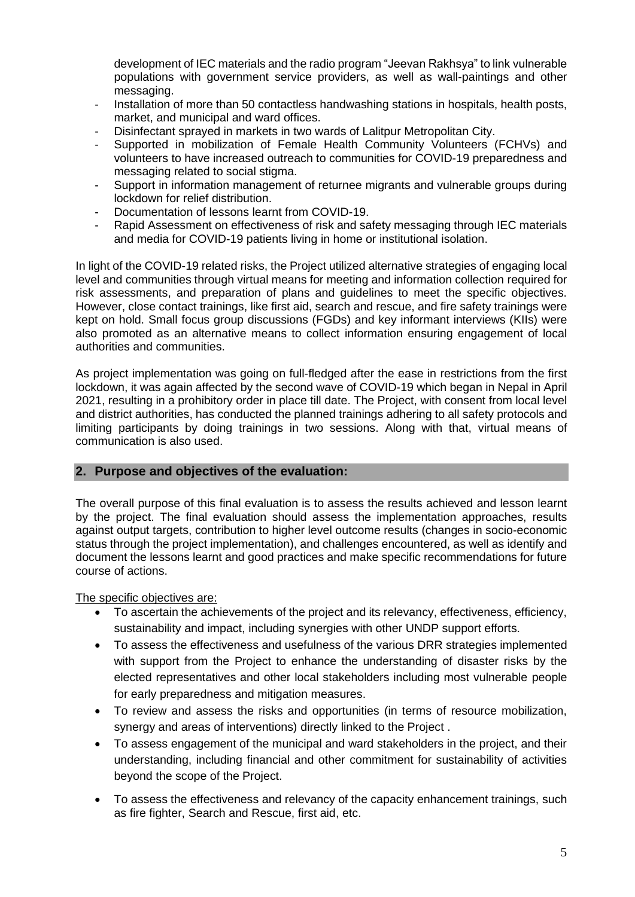development of IEC materials and the radio program "Jeevan Rakhsya" to link vulnerable populations with government service providers, as well as wall-paintings and other messaging.

- Installation of more than 50 contactless handwashing stations in hospitals, health posts, market, and municipal and ward offices.
- Disinfectant sprayed in markets in two wards of Lalitpur Metropolitan City.
- Supported in mobilization of Female Health Community Volunteers (FCHVs) and volunteers to have increased outreach to communities for COVID-19 preparedness and messaging related to social stigma.
- Support in information management of returnee migrants and vulnerable groups during lockdown for relief distribution.
- Documentation of lessons learnt from COVID-19.
- Rapid Assessment on effectiveness of risk and safety messaging through IEC materials and media for COVID-19 patients living in home or institutional isolation.

In light of the COVID-19 related risks, the Project utilized alternative strategies of engaging local level and communities through virtual means for meeting and information collection required for risk assessments, and preparation of plans and guidelines to meet the specific objectives. However, close contact trainings, like first aid, search and rescue, and fire safety trainings were kept on hold. Small focus group discussions (FGDs) and key informant interviews (KIIs) were also promoted as an alternative means to collect information ensuring engagement of local authorities and communities.

As project implementation was going on full-fledged after the ease in restrictions from the first lockdown, it was again affected by the second wave of COVID-19 which began in Nepal in April 2021, resulting in a prohibitory order in place till date. The Project, with consent from local level and district authorities, has conducted the planned trainings adhering to all safety protocols and limiting participants by doing trainings in two sessions. Along with that, virtual means of communication is also used.

## **2. Purpose and objectives of the evaluation:**

The overall purpose of this final evaluation is to assess the results achieved and lesson learnt by the project. The final evaluation should assess the implementation approaches, results against output targets, contribution to higher level outcome results (changes in socio-economic status through the project implementation), and challenges encountered, as well as identify and document the lessons learnt and good practices and make specific recommendations for future course of actions.

### The specific objectives are:

- To ascertain the achievements of the project and its relevancy, effectiveness, efficiency, sustainability and impact, including synergies with other UNDP support efforts.
- To assess the effectiveness and usefulness of the various DRR strategies implemented with support from the Project to enhance the understanding of disaster risks by the elected representatives and other local stakeholders including most vulnerable people for early preparedness and mitigation measures.
- To review and assess the risks and opportunities (in terms of resource mobilization, synergy and areas of interventions) directly linked to the Project .
- To assess engagement of the municipal and ward stakeholders in the project, and their understanding, including financial and other commitment for sustainability of activities beyond the scope of the Project.
- To assess the effectiveness and relevancy of the capacity enhancement trainings, such as fire fighter, Search and Rescue, first aid, etc.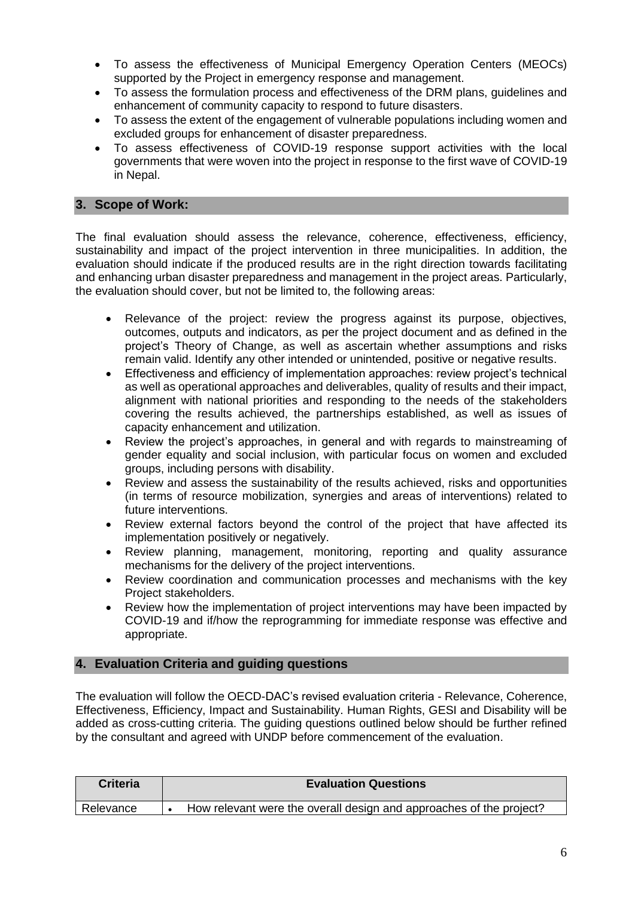- To assess the effectiveness of Municipal Emergency Operation Centers (MEOCs) supported by the Project in emergency response and management.
- To assess the formulation process and effectiveness of the DRM plans, guidelines and enhancement of community capacity to respond to future disasters.
- To assess the extent of the engagement of vulnerable populations including women and excluded groups for enhancement of disaster preparedness.
- To assess effectiveness of COVID-19 response support activities with the local governments that were woven into the project in response to the first wave of COVID-19 in Nepal.

## **3. Scope of Work:**

The final evaluation should assess the relevance, coherence, effectiveness, efficiency, sustainability and impact of the project intervention in three municipalities. In addition, the evaluation should indicate if the produced results are in the right direction towards facilitating and enhancing urban disaster preparedness and management in the project areas. Particularly, the evaluation should cover, but not be limited to, the following areas:

- Relevance of the project: review the progress against its purpose, objectives, outcomes, outputs and indicators, as per the project document and as defined in the project's Theory of Change, as well as ascertain whether assumptions and risks remain valid. Identify any other intended or unintended, positive or negative results.
- Effectiveness and efficiency of implementation approaches: review project's technical as well as operational approaches and deliverables, quality of results and their impact, alignment with national priorities and responding to the needs of the stakeholders covering the results achieved, the partnerships established, as well as issues of capacity enhancement and utilization.
- Review the project's approaches, in general and with regards to mainstreaming of gender equality and social inclusion, with particular focus on women and excluded groups, including persons with disability.
- Review and assess the sustainability of the results achieved, risks and opportunities (in terms of resource mobilization, synergies and areas of interventions) related to future interventions.
- Review external factors beyond the control of the project that have affected its implementation positively or negatively.
- Review planning, management, monitoring, reporting and quality assurance mechanisms for the delivery of the project interventions.
- Review coordination and communication processes and mechanisms with the key Project stakeholders.
- Review how the implementation of project interventions may have been impacted by COVID-19 and if/how the reprogramming for immediate response was effective and appropriate.

## **4. Evaluation Criteria and guiding questions**

The evaluation will follow the OECD-DAC's revised evaluation criteria - Relevance, Coherence, Effectiveness, Efficiency, Impact and Sustainability. Human Rights, GESI and Disability will be added as cross-cutting criteria. The guiding questions outlined below should be further refined by the consultant and agreed with UNDP before commencement of the evaluation.

| <b>Criteria</b> | <b>Evaluation Questions</b>                                         |  |
|-----------------|---------------------------------------------------------------------|--|
| Relevance       | How relevant were the overall design and approaches of the project? |  |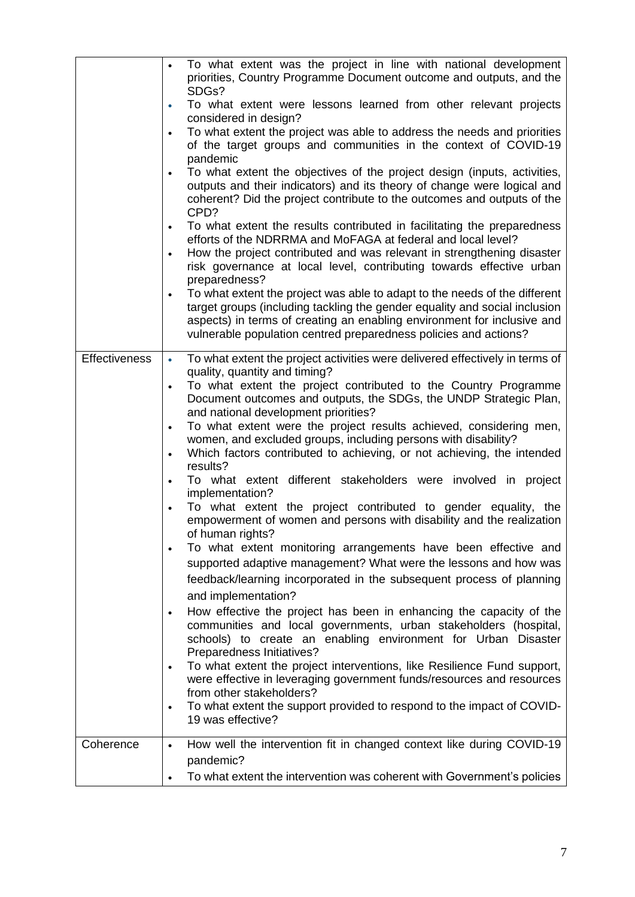|                      | To what extent was the project in line with national development<br>$\bullet$<br>priorities, Country Programme Document outcome and outputs, and the<br>SDG <sub>s</sub> ?<br>To what extent were lessons learned from other relevant projects<br>considered in design?<br>To what extent the project was able to address the needs and priorities<br>$\bullet$<br>of the target groups and communities in the context of COVID-19<br>pandemic<br>To what extent the objectives of the project design (inputs, activities,<br>$\bullet$<br>outputs and their indicators) and its theory of change were logical and<br>coherent? Did the project contribute to the outcomes and outputs of the<br>CPD?<br>To what extent the results contributed in facilitating the preparedness<br>$\bullet$<br>efforts of the NDRRMA and MoFAGA at federal and local level?<br>How the project contributed and was relevant in strengthening disaster<br>risk governance at local level, contributing towards effective urban<br>preparedness?<br>To what extent the project was able to adapt to the needs of the different<br>$\bullet$<br>target groups (including tackling the gender equality and social inclusion                                                                                                                                                                                                                                                                                                                                                                                                                              |
|----------------------|----------------------------------------------------------------------------------------------------------------------------------------------------------------------------------------------------------------------------------------------------------------------------------------------------------------------------------------------------------------------------------------------------------------------------------------------------------------------------------------------------------------------------------------------------------------------------------------------------------------------------------------------------------------------------------------------------------------------------------------------------------------------------------------------------------------------------------------------------------------------------------------------------------------------------------------------------------------------------------------------------------------------------------------------------------------------------------------------------------------------------------------------------------------------------------------------------------------------------------------------------------------------------------------------------------------------------------------------------------------------------------------------------------------------------------------------------------------------------------------------------------------------------------------------------------------------------------------------------------------------------------------|
|                      | aspects) in terms of creating an enabling environment for inclusive and<br>vulnerable population centred preparedness policies and actions?                                                                                                                                                                                                                                                                                                                                                                                                                                                                                                                                                                                                                                                                                                                                                                                                                                                                                                                                                                                                                                                                                                                                                                                                                                                                                                                                                                                                                                                                                            |
| <b>Effectiveness</b> | To what extent the project activities were delivered effectively in terms of<br>quality, quantity and timing?<br>To what extent the project contributed to the Country Programme<br>$\bullet$<br>Document outcomes and outputs, the SDGs, the UNDP Strategic Plan,<br>and national development priorities?<br>To what extent were the project results achieved, considering men,<br>$\bullet$<br>women, and excluded groups, including persons with disability?<br>Which factors contributed to achieving, or not achieving, the intended<br>$\bullet$<br>results?<br>To what extent different stakeholders were involved in project<br>$\bullet$<br>implementation?<br>To what extent the project contributed to gender equality, the<br>empowerment of women and persons with disability and the realization<br>of human rights?<br>To what extent monitoring arrangements have been effective and<br>$\bullet$<br>supported adaptive management? What were the lessons and how was<br>feedback/learning incorporated in the subsequent process of planning<br>and implementation?<br>How effective the project has been in enhancing the capacity of the<br>$\bullet$<br>communities and local governments, urban stakeholders (hospital,<br>schools) to create an enabling environment for Urban Disaster<br>Preparedness Initiatives?<br>To what extent the project interventions, like Resilience Fund support,<br>$\bullet$<br>were effective in leveraging government funds/resources and resources<br>from other stakeholders?<br>To what extent the support provided to respond to the impact of COVID-<br>19 was effective? |
| Coherence            | How well the intervention fit in changed context like during COVID-19<br>$\bullet$<br>pandemic?<br>To what extent the intervention was coherent with Government's policies                                                                                                                                                                                                                                                                                                                                                                                                                                                                                                                                                                                                                                                                                                                                                                                                                                                                                                                                                                                                                                                                                                                                                                                                                                                                                                                                                                                                                                                             |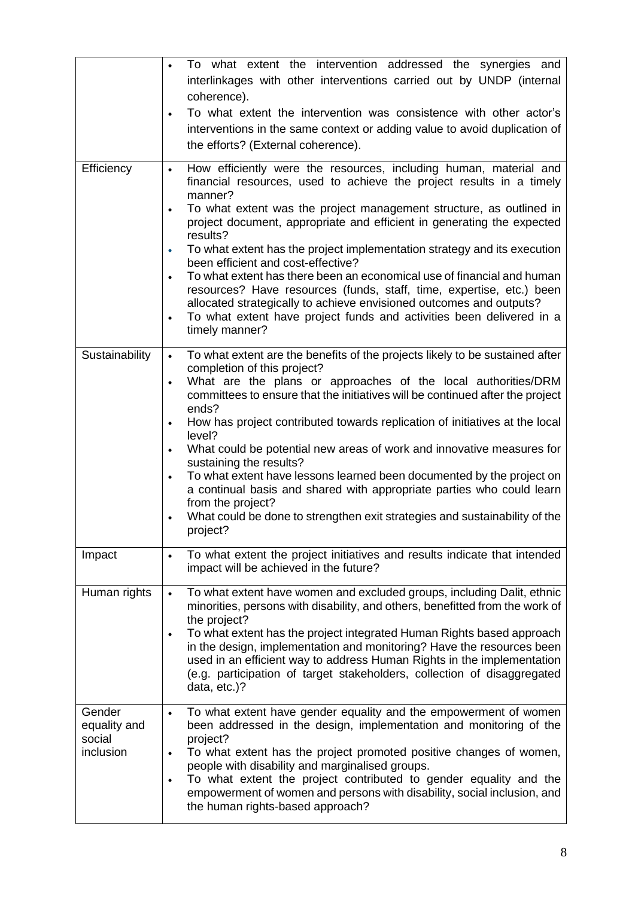|                                               | To what extent the intervention addressed the synergies and<br>$\bullet$<br>interlinkages with other interventions carried out by UNDP (internal<br>coherence).<br>To what extent the intervention was consistence with other actor's<br>$\bullet$<br>interventions in the same context or adding value to avoid duplication of<br>the efforts? (External coherence).                                                                                                                                                                                                                                                                                                                                                                                                                                                   |  |
|-----------------------------------------------|-------------------------------------------------------------------------------------------------------------------------------------------------------------------------------------------------------------------------------------------------------------------------------------------------------------------------------------------------------------------------------------------------------------------------------------------------------------------------------------------------------------------------------------------------------------------------------------------------------------------------------------------------------------------------------------------------------------------------------------------------------------------------------------------------------------------------|--|
| Efficiency                                    | How efficiently were the resources, including human, material and<br>$\bullet$<br>financial resources, used to achieve the project results in a timely<br>manner?<br>To what extent was the project management structure, as outlined in<br>$\bullet$<br>project document, appropriate and efficient in generating the expected<br>results?<br>To what extent has the project implementation strategy and its execution<br>$\bullet$<br>been efficient and cost-effective?<br>To what extent has there been an economical use of financial and human<br>$\bullet$<br>resources? Have resources (funds, staff, time, expertise, etc.) been<br>allocated strategically to achieve envisioned outcomes and outputs?<br>To what extent have project funds and activities been delivered in a<br>$\bullet$<br>timely manner? |  |
| Sustainability                                | To what extent are the benefits of the projects likely to be sustained after<br>$\bullet$<br>completion of this project?<br>What are the plans or approaches of the local authorities/DRM<br>$\bullet$<br>committees to ensure that the initiatives will be continued after the project<br>ends?<br>How has project contributed towards replication of initiatives at the local<br>$\bullet$<br>level?<br>What could be potential new areas of work and innovative measures for<br>$\bullet$<br>sustaining the results?<br>To what extent have lessons learned been documented by the project on<br>$\bullet$<br>a continual basis and shared with appropriate parties who could learn<br>from the project?<br>What could be done to strengthen exit strategies and sustainability of the<br>$\bullet$<br>project?      |  |
| Impact                                        | To what extent the project initiatives and results indicate that intended<br>$\bullet$<br>impact will be achieved in the future?                                                                                                                                                                                                                                                                                                                                                                                                                                                                                                                                                                                                                                                                                        |  |
| Human rights                                  | To what extent have women and excluded groups, including Dalit, ethnic<br>minorities, persons with disability, and others, benefitted from the work of<br>the project?<br>To what extent has the project integrated Human Rights based approach<br>in the design, implementation and monitoring? Have the resources been<br>used in an efficient way to address Human Rights in the implementation<br>(e.g. participation of target stakeholders, collection of disaggregated<br>data, etc.)?                                                                                                                                                                                                                                                                                                                           |  |
| Gender<br>equality and<br>social<br>inclusion | To what extent have gender equality and the empowerment of women<br>$\bullet$<br>been addressed in the design, implementation and monitoring of the<br>project?<br>To what extent has the project promoted positive changes of women,<br>$\bullet$<br>people with disability and marginalised groups.<br>To what extent the project contributed to gender equality and the<br>$\bullet$<br>empowerment of women and persons with disability, social inclusion, and<br>the human rights-based approach?                                                                                                                                                                                                                                                                                                                  |  |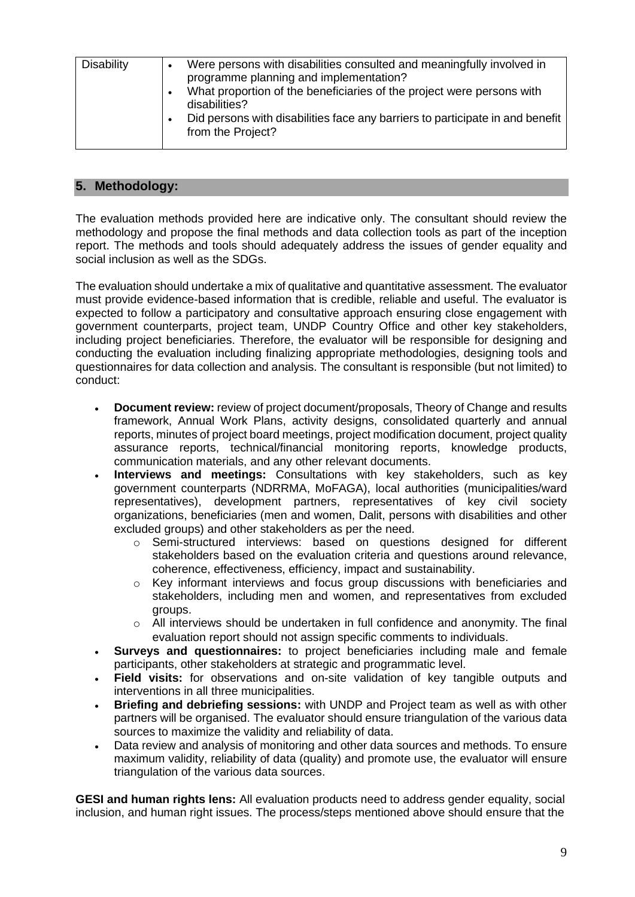| <b>Disability</b> | Were persons with disabilities consulted and meaningfully involved in<br>programme planning and implementation?                                                                              |
|-------------------|----------------------------------------------------------------------------------------------------------------------------------------------------------------------------------------------|
|                   | What proportion of the beneficiaries of the project were persons with<br>disabilities?<br>Did persons with disabilities face any barriers to participate in and benefit<br>from the Project? |

# **5. Methodology:**

The evaluation methods provided here are indicative only. The consultant should review the methodology and propose the final methods and data collection tools as part of the inception report. The methods and tools should adequately address the issues of gender equality and social inclusion as well as the SDGs.

The evaluation should undertake a mix of qualitative and quantitative assessment. The evaluator must provide evidence-based information that is credible, reliable and useful. The evaluator is expected to follow a participatory and consultative approach ensuring close engagement with government counterparts, project team, UNDP Country Office and other key stakeholders, including project beneficiaries. Therefore, the evaluator will be responsible for designing and conducting the evaluation including finalizing appropriate methodologies, designing tools and questionnaires for data collection and analysis. The consultant is responsible (but not limited) to conduct:

- **Document review:** review of project document/proposals, Theory of Change and results framework, Annual Work Plans, activity designs, consolidated quarterly and annual reports, minutes of project board meetings, project modification document, project quality assurance reports, technical/financial monitoring reports, knowledge products, communication materials, and any other relevant documents.
- **Interviews and meetings:** Consultations with key stakeholders, such as key government counterparts (NDRRMA, MoFAGA), local authorities (municipalities/ward representatives), development partners, representatives of key civil society organizations, beneficiaries (men and women, Dalit, persons with disabilities and other excluded groups) and other stakeholders as per the need.
	- o Semi-structured interviews: based on questions designed for different stakeholders based on the evaluation criteria and questions around relevance, coherence, effectiveness, efficiency, impact and sustainability.
	- $\circ$  Key informant interviews and focus group discussions with beneficiaries and stakeholders, including men and women, and representatives from excluded groups.
	- o All interviews should be undertaken in full confidence and anonymity. The final evaluation report should not assign specific comments to individuals.
- **Surveys and questionnaires:** to project beneficiaries including male and female participants, other stakeholders at strategic and programmatic level.
- **Field visits:** for observations and on-site validation of key tangible outputs and interventions in all three municipalities.
- **Briefing and debriefing sessions:** with UNDP and Project team as well as with other partners will be organised. The evaluator should ensure triangulation of the various data sources to maximize the validity and reliability of data.
- Data review and analysis of monitoring and other data sources and methods. To ensure maximum validity, reliability of data (quality) and promote use, the evaluator will ensure triangulation of the various data sources.

**GESI and human rights lens:** All evaluation products need to address gender equality, social inclusion, and human right issues. The process/steps mentioned above should ensure that the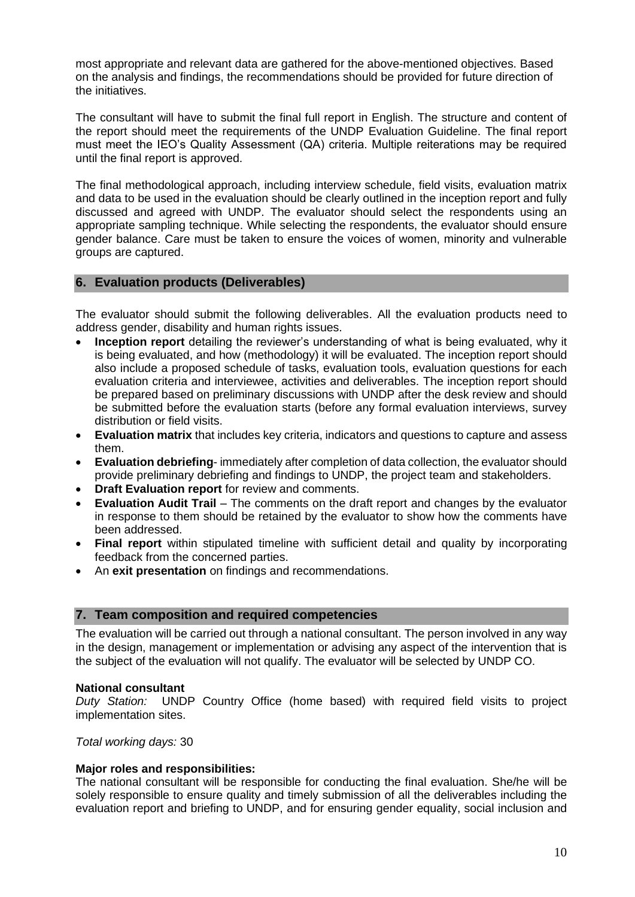most appropriate and relevant data are gathered for the above-mentioned objectives. Based on the analysis and findings, the recommendations should be provided for future direction of the initiatives.

The consultant will have to submit the final full report in English. The structure and content of the report should meet the requirements of the UNDP Evaluation Guideline. The final report must meet the IEO's Quality Assessment (QA) criteria. Multiple reiterations may be required until the final report is approved.

The final methodological approach, including interview schedule, field visits, evaluation matrix and data to be used in the evaluation should be clearly outlined in the inception report and fully discussed and agreed with UNDP. The evaluator should select the respondents using an appropriate sampling technique. While selecting the respondents, the evaluator should ensure gender balance. Care must be taken to ensure the voices of women, minority and vulnerable groups are captured.

## **6. Evaluation products (Deliverables)**

The evaluator should submit the following deliverables. All the evaluation products need to address gender, disability and human rights issues.

- **Inception report** detailing the reviewer's understanding of what is being evaluated, why it is being evaluated, and how (methodology) it will be evaluated. The inception report should also include a proposed schedule of tasks, evaluation tools, evaluation questions for each evaluation criteria and interviewee, activities and deliverables. The inception report should be prepared based on preliminary discussions with UNDP after the desk review and should be submitted before the evaluation starts (before any formal evaluation interviews, survey distribution or field visits.
- **Evaluation matrix** that includes key criteria, indicators and questions to capture and assess them.
- **Evaluation debriefing** immediately after completion of data collection, the evaluator should provide preliminary debriefing and findings to UNDP, the project team and stakeholders.
- **Draft Evaluation report** for review and comments.
- **Evaluation Audit Trail** The comments on the draft report and changes by the evaluator in response to them should be retained by the evaluator to show how the comments have been addressed.
- **Final report** within stipulated timeline with sufficient detail and quality by incorporating feedback from the concerned parties.
- An **exit presentation** on findings and recommendations.

#### **7. Team composition and required competencies**

The evaluation will be carried out through a national consultant. The person involved in any way in the design, management or implementation or advising any aspect of the intervention that is the subject of the evaluation will not qualify. The evaluator will be selected by UNDP CO.

#### **National consultant**

*Duty Station:* UNDP Country Office (home based) with required field visits to project implementation sites.

*Total working days:* 30

#### **Major roles and responsibilities:**

The national consultant will be responsible for conducting the final evaluation. She/he will be solely responsible to ensure quality and timely submission of all the deliverables including the evaluation report and briefing to UNDP, and for ensuring gender equality, social inclusion and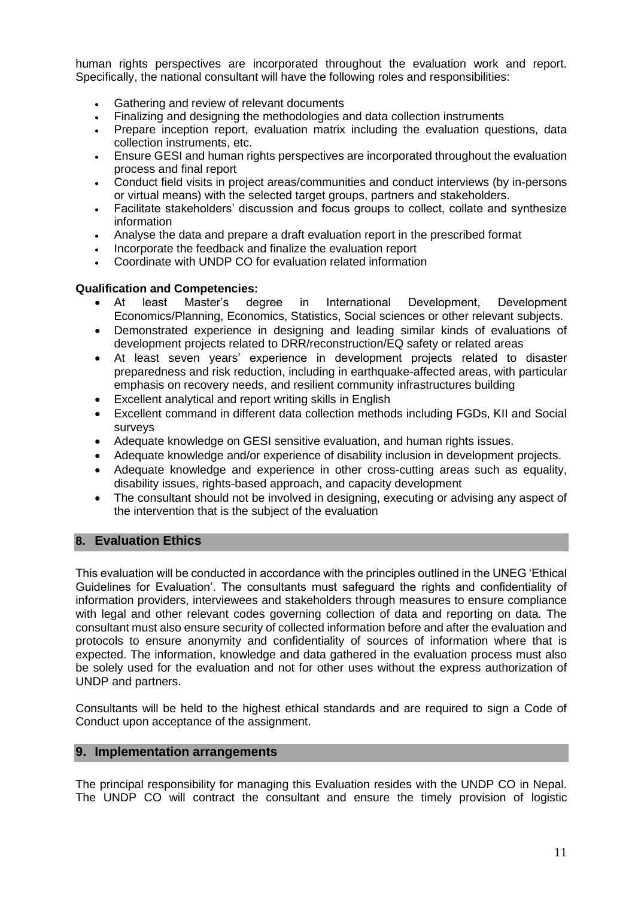human rights perspectives are incorporated throughout the evaluation work and report. Specifically, the national consultant will have the following roles and responsibilities:

- Gathering and review of relevant documents
- Finalizing and designing the methodologies and data collection instruments
- Prepare inception report, evaluation matrix including the evaluation questions, data collection instruments, etc.
- Ensure GESI and human rights perspectives are incorporated throughout the evaluation process and final report
- Conduct field visits in project areas/communities and conduct interviews (by in-persons or virtual means) with the selected target groups, partners and stakeholders.
- Facilitate stakeholders' discussion and focus groups to collect, collate and synthesize information
- Analyse the data and prepare a draft evaluation report in the prescribed format
- Incorporate the feedback and finalize the evaluation report
- Coordinate with UNDP CO for evaluation related information

#### **Qualification and Competencies:**

- At least Master's degree in International Development, Development Economics/Planning, Economics, Statistics, Social sciences or other relevant subjects.
- Demonstrated experience in designing and leading similar kinds of evaluations of development projects related to DRR/reconstruction/EQ safety or related areas
- At least seven years' experience in development projects related to disaster preparedness and risk reduction, including in earthquake-affected areas, with particular emphasis on recovery needs, and resilient community infrastructures building
- Excellent analytical and report writing skills in English
- Excellent command in different data collection methods including FGDs, KII and Social surveys
- Adequate knowledge on GESI sensitive evaluation, and human rights issues.
- Adequate knowledge and/or experience of disability inclusion in development projects.
- Adequate knowledge and experience in other cross-cutting areas such as equality, disability issues, rights-based approach, and capacity development
- The consultant should not be involved in designing, executing or advising any aspect of the intervention that is the subject of the evaluation

### **8. Evaluation Ethics**

This evaluation will be conducted in accordance with the principles outlined in the UNEG 'Ethical Guidelines for Evaluation'. The consultants must safeguard the rights and confidentiality of information providers, interviewees and stakeholders through measures to ensure compliance with legal and other relevant codes governing collection of data and reporting on data. The consultant must also ensure security of collected information before and after the evaluation and protocols to ensure anonymity and confidentiality of sources of information where that is expected. The information, knowledge and data gathered in the evaluation process must also be solely used for the evaluation and not for other uses without the express authorization of UNDP and partners.

Consultants will be held to the highest ethical standards and are required to sign a Code of Conduct upon acceptance of the assignment.

### **9. Implementation arrangements**

The principal responsibility for managing this Evaluation resides with the UNDP CO in Nepal. The UNDP CO will contract the consultant and ensure the timely provision of logistic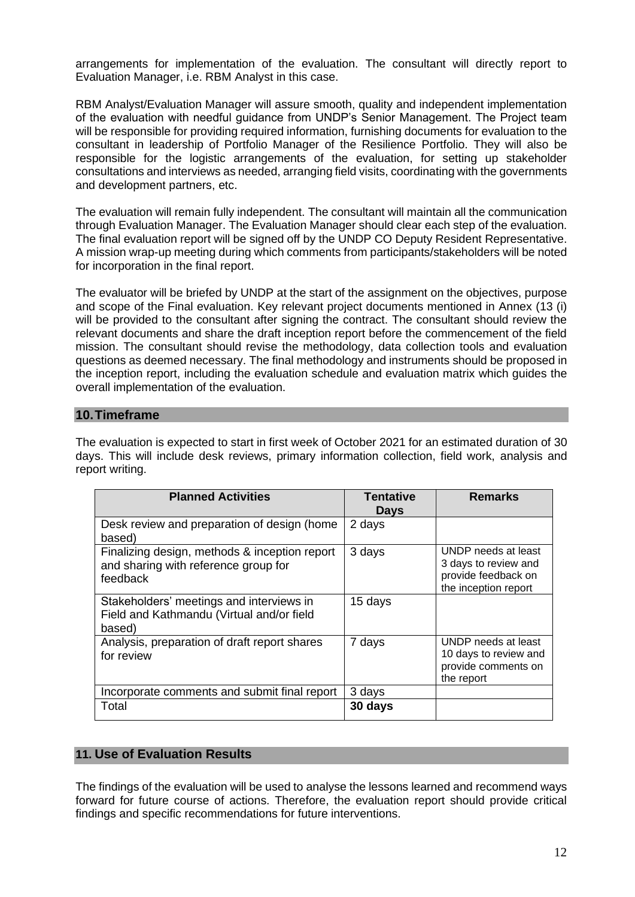arrangements for implementation of the evaluation. The consultant will directly report to Evaluation Manager, i.e. RBM Analyst in this case.

RBM Analyst/Evaluation Manager will assure smooth, quality and independent implementation of the evaluation with needful guidance from UNDP's Senior Management. The Project team will be responsible for providing required information, furnishing documents for evaluation to the consultant in leadership of Portfolio Manager of the Resilience Portfolio. They will also be responsible for the logistic arrangements of the evaluation, for setting up stakeholder consultations and interviews as needed, arranging field visits, coordinating with the governments and development partners, etc.

The evaluation will remain fully independent. The consultant will maintain all the communication through Evaluation Manager. The Evaluation Manager should clear each step of the evaluation. The final evaluation report will be signed off by the UNDP CO Deputy Resident Representative. A mission wrap-up meeting during which comments from participants/stakeholders will be noted for incorporation in the final report.

The evaluator will be briefed by UNDP at the start of the assignment on the objectives, purpose and scope of the Final evaluation. Key relevant project documents mentioned in Annex (13 (i) will be provided to the consultant after signing the contract. The consultant should review the relevant documents and share the draft inception report before the commencement of the field mission. The consultant should revise the methodology, data collection tools and evaluation questions as deemed necessary. The final methodology and instruments should be proposed in the inception report, including the evaluation schedule and evaluation matrix which guides the overall implementation of the evaluation.

### **10.Timeframe**

The evaluation is expected to start in first week of October 2021 for an estimated duration of 30 days. This will include desk reviews, primary information collection, field work, analysis and report writing.

| <b>Planned Activities</b>                                                                         | <b>Tentative</b><br><b>Days</b> | <b>Remarks</b>                                                                             |
|---------------------------------------------------------------------------------------------------|---------------------------------|--------------------------------------------------------------------------------------------|
| Desk review and preparation of design (home<br>based)                                             | 2 days                          |                                                                                            |
| Finalizing design, methods & inception report<br>and sharing with reference group for<br>feedback | 3 days                          | UNDP needs at least<br>3 days to review and<br>provide feedback on<br>the inception report |
| Stakeholders' meetings and interviews in<br>Field and Kathmandu (Virtual and/or field<br>based)   | 15 days                         |                                                                                            |
| Analysis, preparation of draft report shares<br>for review                                        | 7 days                          | UNDP needs at least<br>10 days to review and<br>provide comments on<br>the report          |
| Incorporate comments and submit final report                                                      | 3 days                          |                                                                                            |
| Total                                                                                             | 30 days                         |                                                                                            |

## **11. Use of Evaluation Results**

The findings of the evaluation will be used to analyse the lessons learned and recommend ways forward for future course of actions. Therefore, the evaluation report should provide critical findings and specific recommendations for future interventions.